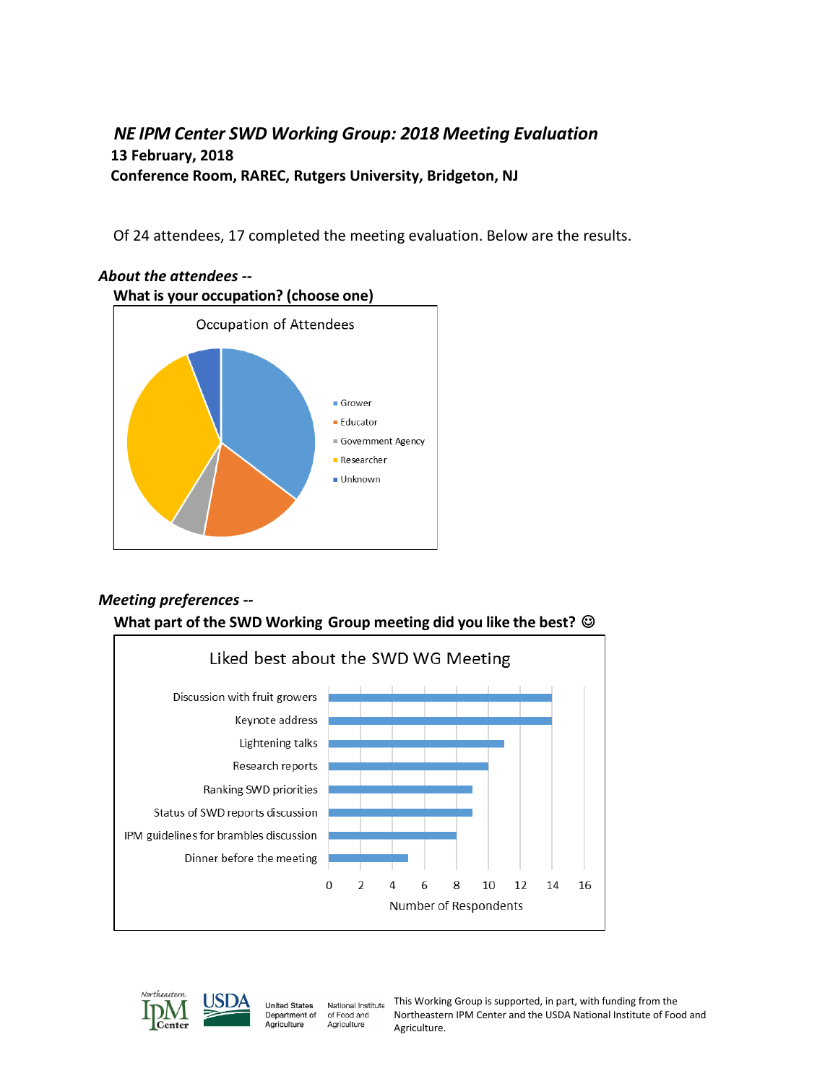### *NE IPM Center SWD Working Group: 2018 Meeting Evaluation* **13 February, 2018 Conference Room, RAREC, Rutgers University, Bridgeton, NJ**

Of 24 attendees, 17 completed the meeting evaluation. Below are the results.



# *About the attendees --*

# *Meeting preferences --*

#### **What part of the SWD Working Group meeting did you like the best?**





**United States** National Institute Department of of Food and Agriculture Agriculture

This Working Group is supported, in part, with funding from the Northeastern IPM Center and the USDA National Institute of Food and Agriculture.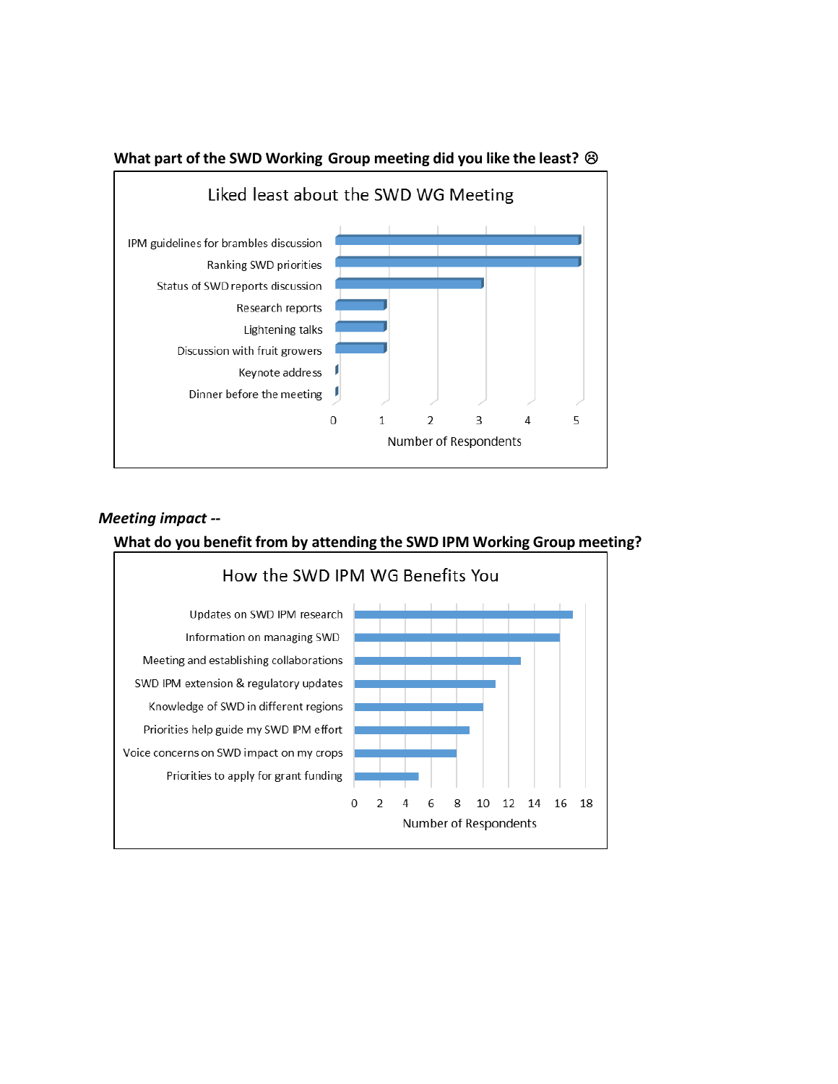

#### **What part of the SWD Working Group meeting did you like the least?**

#### *Meeting impact --*

#### **What do you benefit from by attending the SWD IPM Working Group meeting?**